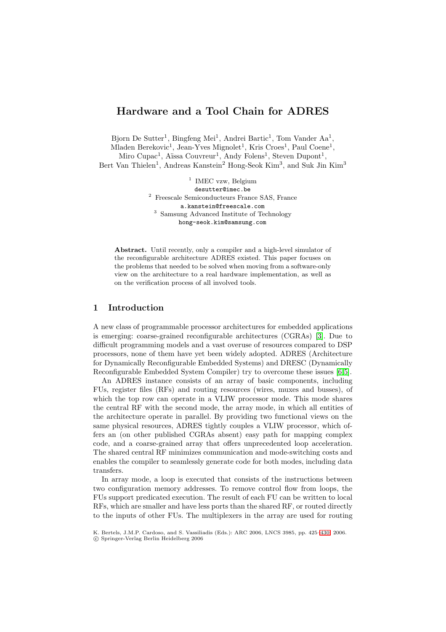# **Hardware and a Tool Chain for ADRES**

Bjorn De Sutter<sup>1</sup>, Bingfeng Mei<sup>1</sup>, Andrei Bartic<sup>1</sup>, Tom Vander Aa<sup>1</sup>, Mladen Berekovic<sup>1</sup>, Jean-Yves Mignolet<sup>1</sup>, Kris Croes<sup>1</sup>, Paul Coene<sup>1</sup>, Miro Cupac<sup>1</sup>, Aïssa Couvreur<sup>1</sup>, Andy Folens<sup>1</sup>, Steven Dupont<sup>1</sup>, Bert Van Thielen<sup>1</sup>, Andreas Kanstein<sup>2</sup> Hong-Seok Kim<sup>3</sup>, and Suk Jin Kim<sup>3</sup>

> <sup>1</sup> IMEC vzw, Belgium desutter@imec.be <sup>2</sup> Freescale Semiconducteurs France SAS, France a.kanstein@freescale.com <sup>3</sup> Samsung Advanced Institute of Technology hong-seok.kim@samsung.com

**Abstract.** Until recently, only a compiler and a high-level simulator of the reconfigurable architecture ADRES existed. This paper focuses on the problems that needed to be solved when moving from a software-only view on the architecture to a real hardware implementation, as well as on the verification process of all involved tools.

### **1 Introduction**

A new class of programmable processor architectures for embedded applications is emerging: coarse-grained reconfigurable architectures (CGRAs) [3]. Due to difficult programming models and a vast overuse of resources compared to DSP processors, none of them have yet been widely adopted. ADRES (Architecture for Dynamically Reconfigurable Embedded Systems) and DRESC (Dynamically Reconfigurable Embedded System Compiler) try to overcome these [iss](#page-5-0)ues [6,5].

An ADRES instance consists of an array of basic components, including FUs, register files (RFs) and routing resources (wires, muxes and busses), of which the top row can operate in a VLIW processor mode. This mode shares the central RF with the second mode, the array mode, in which all entiti[es](#page-5-1) [o](#page-5-2)f the architecture operate in parallel. By providing two functional views on the same physical resources, ADRES tightly couples a VLIW processor, which offers an (on other published CGRAs absent) easy path for mapping complex code, and a coarse-grained array that offers unprecedented loop acceleration. The shared central RF minimizes communication and mode-switching costs and enables the compiler to seamlessly generate code for both modes, including data transfers.

In array mode, a loop is executed that consists of the instructions between two configuration memory addresses. To remove control flow from loops, the FUs support predicated execution. The result of each FU can be written to local RFs, which are smaller and have less ports than the shared RF, or routed directly to the inputs of other FUs. The multiplexers in the array are used for routing

K. Bertels, J.M.P. Cardoso, and S. Vassiliadis (Eds.): ARC 2006, LNCS 3985, pp. 425–430, 2006. -c Springer-Verlag Berlin Heidelberg 2006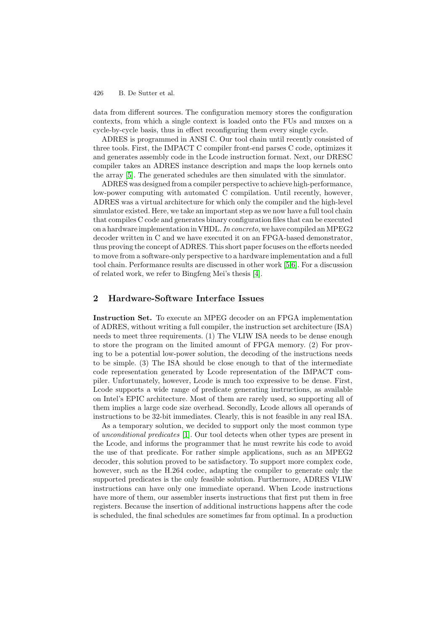#### 426 B. De Sutter et al.

data from different sources. The configuration memory stores the configuration contexts, from which a single context is loaded onto the FUs and muxes on a cycle-by-cycle basis, thus in effect reconfiguring them every single cycle.

ADRES is programmed in ANSI C. Our tool chain until recently consisted of three tools. First, the IMPACT C compiler front-end parses C code, optimizes it and generates assembly code in the Lcode instruction format. Next, our DRESC compiler takes an ADRES instance description and maps the loop kernels onto the array [5]. The generated schedules are then simulated with the simulator.

ADRES was designed from a compiler perspective to achieve high-performance, low-power computing with automated C compilation. Until recently, however, ADRES was a virtual architecture for which only the compiler and the high-level simulator [ex](#page-5-2)isted. Here, we take an important step as we now have a full tool chain that compiles C code and generates binary configuration files that can be executed on a hardware implementation in VHDL. In concreto, we have compiled an MPEG2 decoder written in C and we have executed it on an FPGA-based demonstrator, thus proving the concept of ADRES. This short paper focuses on the efforts needed to move from a software-only perspective to a hardware implementation and a full tool chain. Performance results are discussed in other work [5,6]. For a discussion of related work, we refer to Bingfeng Mei's thesis [4].

### **2 Hardware-Software Interface Issues**

**Instruction Set.** To execute an MPEG decoder on an FPGA implementation of ADRES, without writing a full compiler, the instruction set architecture (ISA) needs to meet three requirements. (1) The VLIW ISA needs to be dense enough to store the program on the limited amount of FPGA memory. (2) For proving to be a potential low-power solution, the decoding of the instructions needs to be simple. (3) The ISA should be close enough to that of the intermediate code representation generated by Lcode representation of the IMPACT compiler. Unfortunately, however, Lcode is much too expressive to be dense. First, Lcode supports a wide range of predicate generating instructions, as available on Intel's EPIC architecture. Most of them are rarely used, so supporting all of them implies a large code size overhead. Secondly, Lcode allows all operands of instructions to be 32-bit immediates. Clearly, this is not feasible in any real ISA.

As a temporary solution, we decided to support only the most common type of unconditional predicates [1]. Our tool detects when other types are present in the Lcode, and informs the programmer that he must rewrite his code to avoid the use of that predicate. For rather simple applications, such as an MPEG2 decoder, this solution proved to be satisfactory. To support more complex code, however, such as the H.264 [c](#page-5-3)odec, adapting the compiler to generate only the supported predicates is the only feasible solution. Furthermore, ADRES VLIW instructions can have only one immediate operand. When Lcode instructions have more of them, our assembler inserts instructions that first put them in free registers. Because the insertion of additional instructions happens after the code is scheduled, the final schedules are sometimes far from optimal. In a production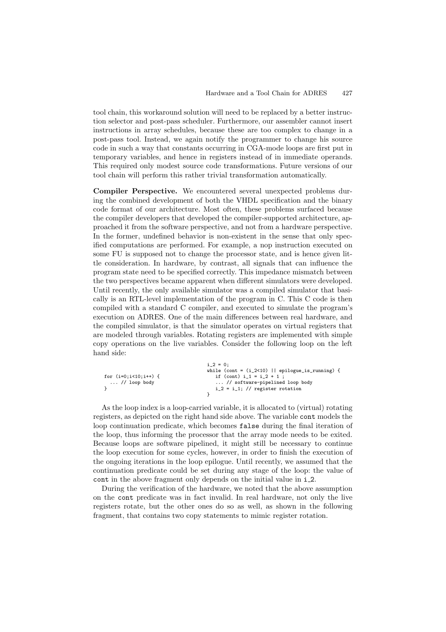tool chain, this workaround solution will need to be replaced by a better instruction selector and post-pass scheduler. Furthermore, our assembler cannot insert instructions in array schedules, because these are too complex to change in a post-pass tool. Instead, we again notify the programmer to change his source code in such a way that constants occurring in CGA-mode loops are first put in temporary variables, and hence in registers instead of in immediate operands. This required only modest source code transformations. Future versions of our tool chain will perform this rather trivial transformation automatically.

**Compiler Perspective.** We encountered several unexpected problems during the combined development of both the VHDL specification and the binary code format of our architecture. Most often, these problems surfaced because the compiler developers that developed the compiler-supported architecture, approached it from the software perspective, and not from a hardware perspective. In the former, undefined behavior is non-existent in the sense that only specified computations are performed. For example, a nop instruction executed on some FU is supposed not to change the processor state, and is hence given little consideration. In hardware, by contrast, all signals that can influence the program state need to be specified correctly. This impedance mismatch between the two perspectives became apparent when different simulators were developed. Until recently, the only available simulator was a compiled simulator that basically is an RTL-level implementation of the program in C. This C code is then compiled with a standard C compiler, and executed to simulate the program's execution on ADRES. One of the main differences between real hardware, and the compiled simulator, is that the simulator operates on virtual registers that are modeled through variables. Rotating registers are implemented with simple copy operations on the live variables. Consider the following loop on the left hand side:

|                          | $i \t2 = 0$ :                                                |
|--------------------------|--------------------------------------------------------------|
|                          | while $\text{(cont = } (i_2 < 10)$    epilogue_is_running) { |
| for $(i=0; i<10; i++)$ { | if (cont) $i_{-}1 = i_{-}2 + 1$ ;                            |
| $\ldots$ // loop body    | $\ldots$ // software-pipelined loop body                     |
|                          | $i_{-2} = i_{-1};$ // register rotation                      |
|                          |                                                              |

As the loop index is a loop-carried variable, it is allocated to (virtual) rotating registers, as depicted on the right hand side above. The variable cont models the loop continuation predicate, which becomes false during the final iteration of the loop, thus informing the processor that the array mode needs to be exited. Because loops are software pipelined, it might still be necessary to continue the loop execution for some cycles, however, in order to finish the execution of the ongoing iterations in the loop epilogue. Until recently, we assumed that the continuation predicate could be set during any stage of the loop: the value of cont in the above fragment only depends on the initial value in  $i$  2.

During the verification of the hardware, we noted that the above assumption on the cont predicate was in fact invalid. In real hardware, not only the live registers rotate, but the other ones do so as well, as shown in the following fragment, that contains two copy statements to mimic register rotation.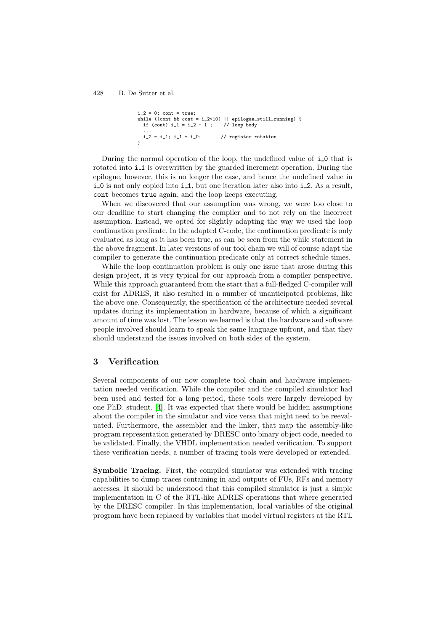```
i_2 = 0; cont = true;
while ((cont \& cont = i_2<10) || epilogue_still_running) {<br>if (cont) i_1 = i_2 + 1 ; // loop body
  if (cont) i_1 = i_2 + 1;
   ...
i_2 = i_1; i_1 = i_0; // register rotation
}
```
During the normal operation of the loop, the undefined value of  $i_0$  that is rotated into i<sub>1</sub> is overwritten by the guarded increment operation. During the epilogue, however, this is no longer the case, and hence the undefined value in  $i$  0 is not only copied into  $i$  1, but one iteration later also into  $i$  2. As a result, cont becomes true again, and the loop keeps executing.

When we discovered that our assumption was wrong, we were too close to our deadline to start changing the compiler and to not rely on the incorrect assumption. Instead, we opted for slightly adapting the way we used the loop continuation predicate. In the adapted C-code, the continuation predicate is only evaluated as long as it has been true, as can be seen from the while statement in the above fragment. In later versions of our tool chain we will of course adapt the compiler to generate the continuation predicate only at correct schedule times.

While the loop continuation problem is only one issue that arose during this design project, it is very typical for our approach from a compiler perspective. While this approach guaranteed from the start that a full-fledged C-compiler will exist for ADRES, it also resulted in a number of unanticipated problems, like the above one. Consequently, the specification of the architecture needed several updates during its implementation in hardware, because of which a significant amount of time was lost. The lesson we learned is that the hardware and software people involved should learn to speak the same language upfront, and that they should understand the issues involved on both sides of the system.

### **3 Verification**

Several components of our now complete tool chain and hardware implementation needed verification. While the compiler and the compiled simulator had been used and tested for a long period, these tools were largely developed by one PhD. student. [4]. It was expected that there would be hidden assumptions about the compiler in the simulator and vice versa that might need to be reevaluated. Furthermore, the assembler and the linker, that map the assembly-like program representation generated by DRESC onto binary object code, needed to be validated. Finall[y,](#page-5-4) the VHDL implementation needed verification. To support these verification needs, a number of tracing tools were developed or extended.

**Symbolic Tracing.** First, the compiled simulator was extended with tracing capabilities to dump traces containing in and outputs of FUs, RFs and memory accesses. It should be understood that this compiled simulator is just a simple implementation in C of the RTL-like ADRES operations that where generated by the DRESC compiler. In this implementation, local variables of the original program have been replaced by variables that model virtual registers at the RTL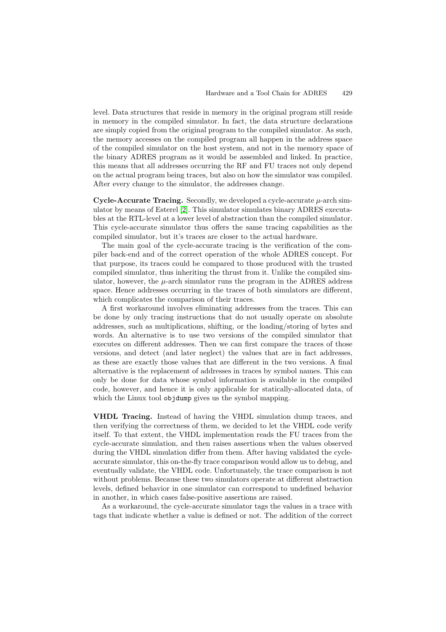level. Data structures that reside in memory in the original program still reside in memory in the compiled simulator. In fact, the data structure declarations are simply copied from the original program to the compiled simulator. As such, the memory accesses on the compiled program all happen in the address space of the compiled simulator on the host system, and not in the memory space of the binary ADRES program as it would be assembled and linked. In practice, this means that all addresses occurring the RF and FU traces not only depend on the actual program being traces, but also on how the simulator was compiled. After every change to the simulator, the addresses change.

**Cycle-Accurate Tracing.** Secondly, we developed a cycle-accurate μ-arch simulator by means of Esterel [2]. This simulator simulates binary ADRES executables at the RTL-level at a lower level of abstraction than the compiled simulator. This cycle-accurate simulator thus offers the same tracing capabilities as the compiled simulator, but it's traces are closer to the actual hardware.

The main goal of the c[yc](#page-5-5)le-accurate tracing is the verification of the compiler back-end and of the correct operation of the whole ADRES concept. For that purpose, its traces could be compared to those produced with the trusted compiled simulator, thus inheriting the thrust from it. Unlike the compiled simulator, however, the  $\mu$ -arch simulator runs the program in the ADRES address space. Hence addresses occurring in the traces of both simulators are different, which complicates the comparison of their traces.

A first workaround involves eliminating addresses from the traces. This can be done by only tracing instructions that do not usually operate on absolute addresses, such as multiplications, shifting, or the loading/storing of bytes and words. An alternative is to use two versions of the compiled simulator that executes on different addresses. Then we can first compare the traces of those versions, and detect (and later neglect) the values that are in fact addresses, as these are exactly those values that are different in the two versions. A final alternative is the replacement of addresses in traces by symbol names. This can only be done for data whose symbol information is available in the compiled code, however, and hence it is only applicable for statically-allocated data, of which the Linux tool objdump gives us the symbol mapping.

**VHDL Tracing.** Instead of having the VHDL simulation dump traces, and then verifying the correctness of them, we decided to let the VHDL code verify itself. To that extent, the VHDL implementation reads the FU traces from the cycle-accurate simulation, and then raises assertions when the values observed during the VHDL simulation differ from them. After having validated the cycleaccurate simulator, this on-the-fly trace comparison would allow us to debug, and eventually validate, the VHDL code. Unfortunately, the trace comparison is not without problems. Because these two simulators operate at different abstraction levels, defined behavior in one simulator can correspond to undefined behavior in another, in which cases false-positive assertions are raised.

As a workaround, the cycle-accurate simulator tags the values in a trace with tags that indicate whether a value is defined or not. The addition of the correct